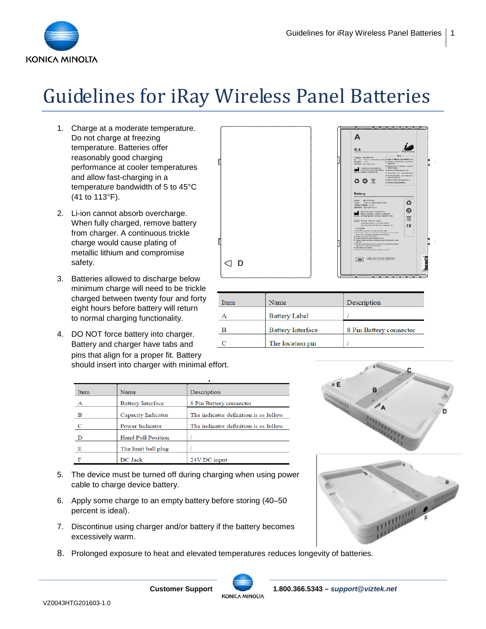

## Guidelines for iRay Wireless Panel Batteries

- 1. Charge at a moderate temperature. Do not charge at freezing temperature. Batteries offer reasonably good charging performance at cooler temperatures and allow fast-charging in a temperature bandwidth of 5 to 45°C (41 to 113°F).
- 2. Li-ion cannot absorb overcharge. When fully charged, remove battery from charger. A continuous trickle charge would cause plating of metallic lithium and compromise safety.
- 3. Batteries allowed to discharge below minimum charge will need to be trickle charged between twenty four and forty eight hours before battery will return to normal charging functionality.
- 4. DO NOT force battery into charger. Battery and charger have tabs and pins that align for a proper fit. Battery should insert into charger with minimal effort.

| Item | Name                      | Description                           |
|------|---------------------------|---------------------------------------|
|      | <b>Battery Interface</b>  | 8 Pin Battery connector               |
| в    | Capacity Indicator        | The indicator definition is as follow |
|      | Power Indicator           | The indicator definition is as follow |
|      | <b>Hand Pull Position</b> |                                       |
|      | The limit ball plug       |                                       |
|      | DC Jack                   | 24V DC input                          |

- 5. The device must be turned off during charging when using power cable to charge device battery.
- 6. Apply some charge to an empty battery before storing (40–50 percent is ideal).
- 7. Discontinue using charger and/or battery if the battery becomes excessively warm.
- 8. Prolonged exposure to heat and elevated temperatures reduces longevity of batteries.



| Item | Name                     | Description             |
|------|--------------------------|-------------------------|
| Α    | <b>Battery Label</b>     |                         |
| в    | <b>Battery Interface</b> | 8 Pin Battery connector |
| C    | The location pin         |                         |
|      |                          |                         |